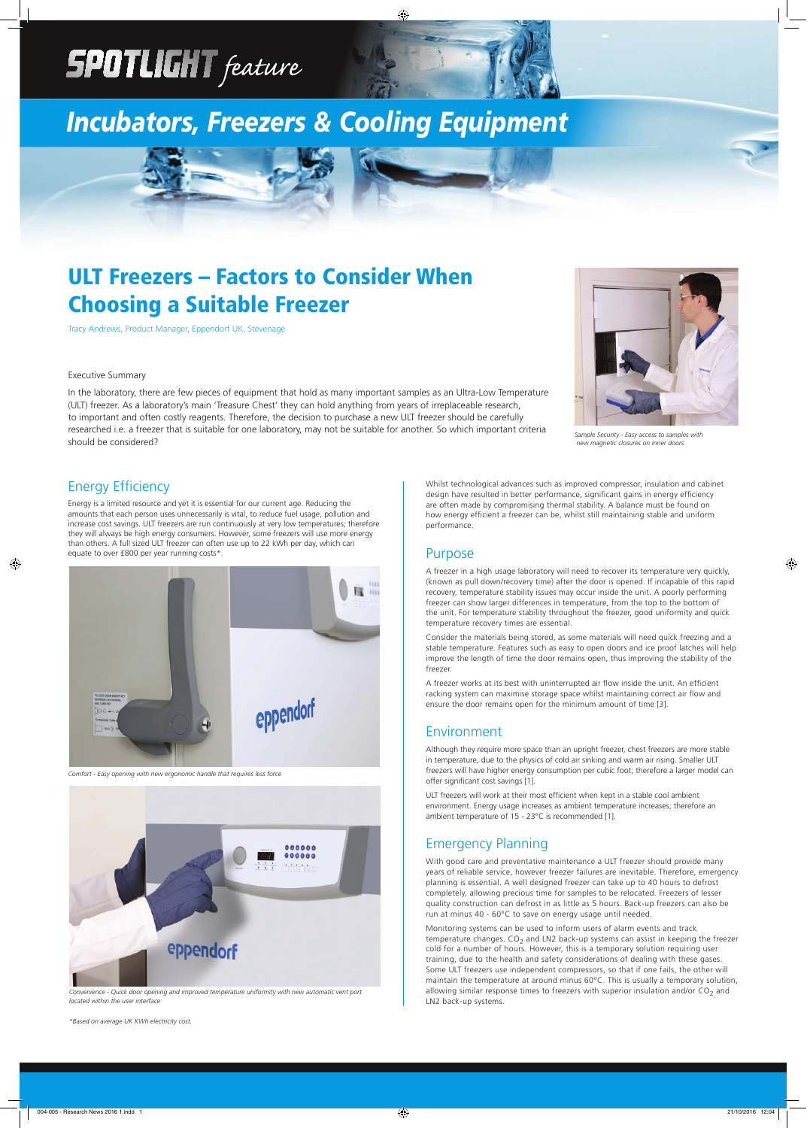# **SPOTLIGHT** feature

# *Incubators, Freezers & Cooling Equipment*

## ULT Freezers – Factors to Consider When Choosing a Suitable Freezer

Tracy Andrews, Product Manager, Eppendorf UK, Stevenage

Energy is a limited resource and yet it is essential for our current age. Reducing the amounts that each person uses unnecessarily is vital, to reduce fuel usage, pollution and increase cost savings. ULT freezers are run continuously at very low temperatures; therefore they will always be high energy consumers. However, some freezers will use more energy than others. A full sized ULT freezer can often use up to 22 kWh per day, which can equate to over £800 per year running costs\*.

Whilst technological advances such as improved compressor, insulation and cabinet design have resulted in better performance, significant gains in energy efficiency are often made by compromising thermal stability. A balance must be found on how energy efficient a freezer can be, whilst still maintaining stable and uniform performance.

A freezer works at its best with uninterrupted air flow inside the unit. An efficient racking system can maximise storage space whilst maintaining correct air flow and ensure the door remains open for the minimum amount of time [3].

Although they require more space than an upright freezer, chest freezers are more stable in temperature, due to the physics of cold air sinking and warm air rising. Smaller ULT freezers will have higher energy consumption per cubic foot; therefore a larger model can offer significant cost savings [1].

#### Purpose

A freezer in a high usage laboratory will need to recover its temperature very quickly, (known as pull down/recovery time) after the door is opened. If incapable of this rapid recovery, temperature stability issues may occur inside the unit. A poorly performing freezer can show larger differences in temperature, from the top to the bottom of the unit. For temperature stability throughout the freezer, good uniformity and quick temperature recovery times are essential.

ULT freezers will work at their most efficient when kept in a stable cool ambient environment. Energy usage increases as ambient temperature increases; therefore an ambient temperature of 15 - 23°C is recommended [1].

Consider the materials being stored, as some materials will need quick freezing and a stable temperature. Features such as easy to open doors and ice proof latches will help improve the length of time the door remains open, thus improving the stability of the freezer.

#### Environment

### Emergency Planning

With good care and preventative maintenance a ULT freezer should provide many of reliable service, however freezer failures are inevitable. Therefore, emergen planning is essential. A well designed freezer can take up to 40 hours to defrost completely, allowing precious time for samples to be relocated. Freezers of lesser quality construction can defrost in as little as 5 hours. Back-up freezers can also be run at minus 40 - 60°C to save on energy usage until needed.

Monitoring systems can be used to inform users of alarm events and track temperature changes.  $CO<sub>2</sub>$  and LN2 back-up systems can assist in keeping the freezer cold for a number of hours. However, this is a temporary solution requiring user training, due to the health and safety considerations of dealing with these gases. Some ULT freezers use independent compressors, so that if one fails, the other will maintain the temperature at around minus 60°C. This is usually a temporary solution, allowing similar response times to freezers with superior insulation and/or  $CO<sub>2</sub>$  and LN2 back-up systems.

#### Executive Summary

In the laboratory, there are few pieces of equipment that hold as many important samples as an Ultra-Low Temperature (ULT) freezer. As a laboratory's main 'Treasure Chest' they can hold anything from years of irreplaceable research, to important and often costly reagents. Therefore, the decision to purchase a new ULT freezer should be carefully researched i.e. a freezer that is suitable for one laboratory, may not be suitable for another. So which important criteria should be considered?

*\*Based on average UK KWh electricity cost.*

*Convenience - Quick door opening and improved temperature uniformity with new automatic vent port located within the user interface* 



*Comfort - Easy opening with new ergonomic handle that requires less force*





*Sample Security - Easy access to samples with new magnetic closures on inner doors*

#### **Energy Efficiency**